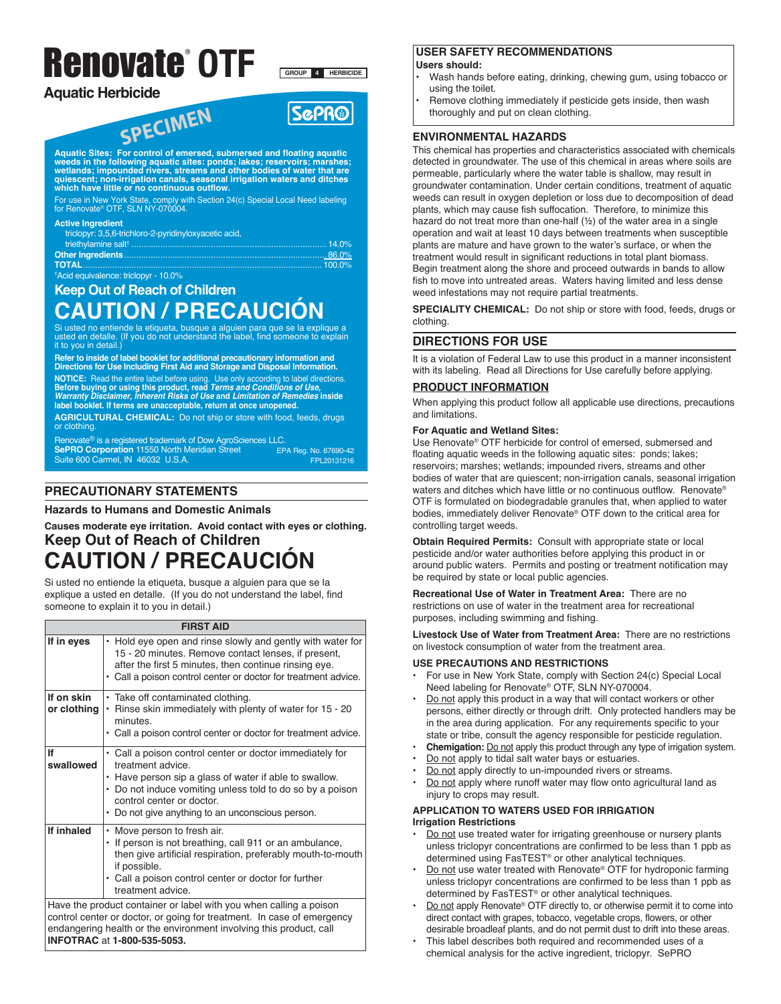# Renovate **OTF**

**Aquatic Herbicide**

**GROUP 4 HERBICIDE**



Aquatic Sites: For control of emersed, submersed and floating aquatic<br>weeds in the following aquatic sites: ponds; lakes; reservoirs; marshes;<br>wetlands; impounded rivers, streams and other bodies of water that are<br>quiescen

For use in New York State, comply with Section 24(c) Special Local Need labeling for Renovate® OTF, SLN NY-070004.

#### **Active Ingredient**

| triclopyr: 3.5.6-trichloro-2-pyridinyloxyacetic acid. |  |
|-------------------------------------------------------|--|
|                                                       |  |
|                                                       |  |
|                                                       |  |
| <sup>t</sup> Acid equivalence: triclopyr - 10.0%      |  |

## **Keep Out of Reach of Children**

## **CAUTION / PRECAUCIÓN**

Si usted no entiende la etiqueta, busque a alguien para que se la explique a usted en detalle. (If you do not understand the label, find someone to explain it to you in detail.)

Refer to inside of label booklet for additional precautionary information and<br>Directions for Use Including First Aid and Storage and Disposal Information. NOTICE: Read the entire label betore using. Use only according to label directions.<br>Before buying or using this product, read *Terms and Conditions of Use, Warranty Disclaimer, Inherent Risks of Use* and *Limitation of Remedies* inside<br>label booklet. If terms are unacceptable, return at once unopened.

**AGRICULTURAL CHEMICAL:** Do not ship or store with food, feeds, drugs or clothing.

Renovate® is a registered trademark of Dow AgroSciences LLC.

**SePRO Corporation** 11550 North Meridian Street Suite 600 Carmel, IN 46032 U.S.A. EPA Reg. No. 67690-42 FPL20131216

## **PRECAUTIONARY STATEMENTS**

**INFOTRAC** at **1-800-535-5053.**

#### **Hazards to Humans and Domestic Animals**

**Causes moderate eye irritation. Avoid contact with eyes or clothing. Keep Out of Reach of Children**

## **CAUTION / PRECAUCIÓN**

Si usted no entiende la etiqueta, busque a alguien para que se la explique a usted en detalle. (If you do not understand the label, find someone to explain it to you in detail.)

| <b>FIRST AID</b>          |                                                                                                                                                                                                                                                                                       |  |  |  |  |  |
|---------------------------|---------------------------------------------------------------------------------------------------------------------------------------------------------------------------------------------------------------------------------------------------------------------------------------|--|--|--|--|--|
| If in eyes                | Hold eye open and rinse slowly and gently with water for<br>$\bullet$<br>15 - 20 minutes. Remove contact lenses, if present,<br>after the first 5 minutes, then continue rinsing eye.<br>• Call a poison control center or doctor for treatment advice.                               |  |  |  |  |  |
| If on skin<br>or clothing | • Take off contaminated clothing.<br>Rinse skin immediately with plenty of water for 15 - 20<br>$\bullet$<br>minutes.<br>• Call a poison control center or doctor for treatment advice.                                                                                               |  |  |  |  |  |
| If<br>swallowed           | • Call a poison control center or doctor immediately for<br>treatment advice.<br>• Have person sip a glass of water if able to swallow.<br>• Do not induce vomiting unless told to do so by a poison<br>control center or doctor.<br>• Do not give anything to an unconscious person. |  |  |  |  |  |
| If inhaled                | • Move person to fresh air.<br>If person is not breathing, call 911 or an ambulance,<br>then give artificial respiration, preferably mouth-to-mouth<br>if possible.<br>• Call a poison control center or doctor for further<br>treatment advice.                                      |  |  |  |  |  |
|                           | Have the product container or label with you when calling a poison<br>control center or doctor, or going for treatment. In case of emergency<br>endangering health or the environment involving this product, call                                                                    |  |  |  |  |  |

## **USER SAFETY RECOMMENDATIONS**

#### **Users should:**

- Wash hands before eating, drinking, chewing gum, using tobacco or using the toilet.
- Remove clothing immediately if pesticide gets inside, then wash thoroughly and put on clean clothing.

#### **ENVIRONMENTAL HAZARDS**

This chemical has properties and characteristics associated with chemicals detected in groundwater. The use of this chemical in areas where soils are permeable, particularly where the water table is shallow, may result in groundwater contamination. Under certain conditions, treatment of aquatic weeds can result in oxygen depletion or loss due to decomposition of dead plants, which may cause fish suffocation. Therefore, to minimize this hazard do not treat more than one-half (½) of the water area in a single operation and wait at least 10 days between treatments when susceptible plants are mature and have grown to the water's surface, or when the treatment would result in significant reductions in total plant biomass. Begin treatment along the shore and proceed outwards in bands to allow fish to move into untreated areas. Waters having limited and less dense weed infestations may not require partial treatments.

**SPECIALITY CHEMICAL:** Do not ship or store with food, feeds, drugs or clothing.

## **DIRECTIONS FOR USE**

It is a violation of Federal Law to use this product in a manner inconsistent with its labeling. Read all Directions for Use carefully before applying.

#### **PRODUCT INFORMATION**

When applying this product follow all applicable use directions, precautions and limitations.

#### **For Aquatic and Wetland Sites:**

Use Renovate® OTF herbicide for control of emersed, submersed and floating aquatic weeds in the following aquatic sites: ponds; lakes; reservoirs; marshes; wetlands; impounded rivers, streams and other bodies of water that are quiescent; non-irrigation canals, seasonal irrigation waters and ditches which have little or no continuous outflow. Renovate® OTF is formulated on biodegradable granules that, when applied to water bodies, immediately deliver Renovate® OTF down to the critical area for controlling target weeds.

**Obtain Required Permits:** Consult with appropriate state or local pesticide and/or water authorities before applying this product in or around public waters. Permits and posting or treatment notification may be required by state or local public agencies.

**Recreational Use of Water in Treatment Area:** There are no restrictions on use of water in the treatment area for recreational purposes, including swimming and fishing.

**Livestock Use of Water from Treatment Area:** There are no restrictions on livestock consumption of water from the treatment area.

#### **USE PRECAUTIONS AND RESTRICTIONS**

- For use in New York State, comply with Section 24(c) Special Local Need labeling for Renovate® OTF, SLN NY-070004.
- Do not apply this product in a way that will contact workers or other persons, either directly or through drift. Only protected handlers may be in the area during application. For any requirements specific to your state or tribe, consult the agency responsible for pesticide regulation.
- **Chemigation:** Do not apply this product through any type of irrigation system.
- Do not apply to tidal salt water bays or estuaries.
- Do not apply directly to un-impounded rivers or streams.
- Do not apply where runoff water may flow onto agricultural land as injury to crops may result.

#### **APPLICATION TO WATERS USED FOR IRRIGATION Irrigation Restrictions**

- Do not use treated water for irrigating greenhouse or nursery plants unless triclopyr concentrations are confirmed to be less than 1 ppb as determined using FasTEST® or other analytical techniques.
- Do not use water treated with Renovate® OTF for hydroponic farming unless triclopyr concentrations are confirmed to be less than 1 ppb as determined by FasTEST® or other analytical techniques.
- Do not apply Renovate® OTF directly to, or otherwise permit it to come into direct contact with grapes, tobacco, vegetable crops, flowers, or other desirable broadleaf plants, and do not permit dust to drift into these areas.
- This label describes both required and recommended uses of a chemical analysis for the active ingredient, triclopyr. SePRO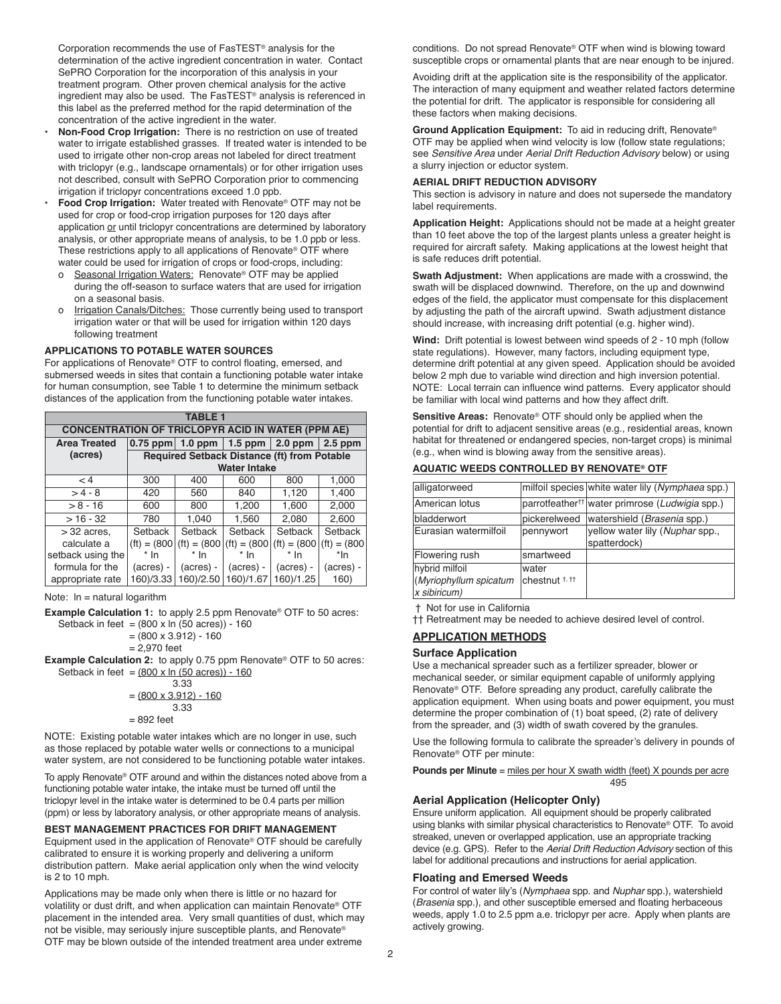Corporation recommends the use of FasTEST® analysis for the determination of the active ingredient concentration in water. Contact SePRO Corporation for the incorporation of this analysis in your treatment program. Other proven chemical analysis for the active ingredient may also be used. The FasTEST® analysis is referenced in this label as the preferred method for the rapid determination of the concentration of the active ingredient in the water.

- **Non-Food Crop Irrigation:** There is no restriction on use of treated water to irrigate established grasses. If treated water is intended to be used to irrigate other non-crop areas not labeled for direct treatment with triclopyr (e.g., landscape ornamentals) or for other irrigation uses not described, consult with SePRO Corporation prior to commencing irrigation if triclopyr concentrations exceed 1.0 ppb.
- **Food Crop Irrigation:** Water treated with Renovate® OTF may not be used for crop or food-crop irrigation purposes for 120 days after application or until triclopyr concentrations are determined by laboratory analysis, or other appropriate means of analysis, to be 1.0 ppb or less. These restrictions apply to all applications of Renovate® OTF where water could be used for irrigation of crops or food-crops, including:
	- o Seasonal Irrigation Waters: Renovate® OTF may be applied during the off-season to surface waters that are used for irrigation on a seasonal basis.
	- o Irrigation Canals/Ditches: Those currently being used to transport irrigation water or that will be used for irrigation within 120 days following treatment

#### **APPLICATIONS TO POTABLE WATER SOURCES**

For applications of Renovate® OTF to control floating, emersed, and submersed weeds in sites that contain a functioning potable water intake for human consumption, see Table 1 to determine the minimum setback distances of the application from the functioning potable water intakes.

| TABLE 1                                                  |                                             |                 |                     |                 |                |
|----------------------------------------------------------|---------------------------------------------|-----------------|---------------------|-----------------|----------------|
| <b>CONCENTRATION OF TRICLOPYR ACID IN WATER (PPM AE)</b> |                                             |                 |                     |                 |                |
| <b>Area Treated</b>                                      | $0.75$ ppm                                  | 1.0 ppm $\vert$ | $1.5$ ppm           | $\vert$ 2.0 ppm | $2.5$ ppm      |
| (acres)                                                  | Required Setback Distance (ft) from Potable |                 |                     |                 |                |
|                                                          |                                             |                 | <b>Water Intake</b> |                 |                |
| < 4                                                      | 300                                         | 400             | 600                 | 800             | 1,000          |
| $>4-8$                                                   | 420                                         | 560             | 840                 | 1,120           | 1,400          |
| $> 8 - 16$                                               | 600                                         | 800             | 1,200               | 1,600           | 2,000          |
| $>16 - 32$                                               | 780                                         | 1,040           | 1,560               | 2,080           | 2.600          |
| $>$ 32 acres.                                            | Setback                                     | Setback         | Setback             | Setback         | Setback        |
| calculate a                                              | $(ft) = (800)$                              | $(ft) = (800)$  | $(ft) = (800)$      | $(ft) = (800)$  | $(ft) = (800)$ |
| setback using the                                        | $*$ In                                      | $*$ In          | $*$ In              | $*$ In          | *In            |
| formula for the                                          | $(acres) -$                                 | (acres) -       | (acres) -           | (acres) -       | (acres) -      |
| appropriate rate                                         | 160)/3.33                                   | 160)/2.50       | 160)/1.67           | 160)/1.25       | 160)           |

Note:  $\ln$  = natural logarithm

**Example Calculation 1:** to apply 2.5 ppm Renovate® OTF to 50 acres: Setback in feet =  $(800 \times \ln (50 \text{ acres})) - 160$ 

$$
= (800 \times 3.912) - 160
$$

$$
= 2,970 \text{ feet}
$$

**Example Calculation 2:** to apply 0.75 ppm Renovate® OTF to 50 acres: Setback in feet =  $(800 \times \ln(50 \text{ acres})) - 160$ 

$$
3.33 = (800 \times 3.912) - 160
$$
  
3.33  
= 892 feet

NOTE: Existing potable water intakes which are no longer in use, such as those replaced by potable water wells or connections to a municipal water system, are not considered to be functioning potable water intakes.

To apply Renovate® OTF around and within the distances noted above from a functioning potable water intake, the intake must be turned off until the triclopyr level in the intake water is determined to be 0.4 parts per million (ppm) or less by laboratory analysis, or other appropriate means of analysis.

#### **BEST MANAGEMENT PRACTICES FOR DRIFT MANAGEMENT**

Equipment used in the application of Renovate® OTF should be carefully calibrated to ensure it is working properly and delivering a uniform distribution pattern. Make aerial application only when the wind velocity is 2 to 10 mph.

Applications may be made only when there is little or no hazard for volatility or dust drift, and when application can maintain Renovate® OTF placement in the intended area. Very small quantities of dust, which may not be visible, may seriously injure susceptible plants, and Renovate® OTF may be blown outside of the intended treatment area under extreme

conditions. Do not spread Renovate® OTF when wind is blowing toward susceptible crops or ornamental plants that are near enough to be injured.

Avoiding drift at the application site is the responsibility of the applicator. The interaction of many equipment and weather related factors determine the potential for drift. The applicator is responsible for considering all these factors when making decisions.

**Ground Application Equipment:** To aid in reducing drift, Renovate® OTF may be applied when wind velocity is low (follow state regulations; see *Sensitive Area* under *Aerial Drift Reduction Advisory* below) or using a slurry injection or eductor system.

#### **AERIAL DRIFT REDUCTION ADVISORY**

This section is advisory in nature and does not supersede the mandatory label requirements.

**Application Height:** Applications should not be made at a height greater than 10 feet above the top of the largest plants unless a greater height is required for aircraft safety. Making applications at the lowest height that is safe reduces drift potential.

**Swath Adjustment:** When applications are made with a crosswind, the swath will be displaced downwind. Therefore, on the up and downwind edges of the field, the applicator must compensate for this displacement by adjusting the path of the aircraft upwind. Swath adjustment distance should increase, with increasing drift potential (e.g. higher wind).

**Wind:** Drift potential is lowest between wind speeds of 2 - 10 mph (follow state regulations). However, many factors, including equipment type, determine drift potential at any given speed. Application should be avoided below 2 mph due to variable wind direction and high inversion potential. NOTE: Local terrain can influence wind patterns. Every applicator should be familiar with local wind patterns and how they affect drift.

**Sensitive Areas:** Renovate® OTF should only be applied when the potential for drift to adjacent sensitive areas (e.g., residential areas, known habitat for threatened or endangered species, non-target crops) is minimal (e.g., when wind is blowing away from the sensitive areas).

#### **AQUATIC WEEDS CONTROLLED BY RENOVATE® OTF**

| alligatorweed          |                | milfoil species white water lily (Nymphaea spp.)           |
|------------------------|----------------|------------------------------------------------------------|
| American lotus         |                | parrotfeather <sup>††</sup> water primrose (Ludwigia spp.) |
| bladderwort            | pickerelweed   | watershield (Brasenia spp.)                                |
| Eurasian watermilfoil  | pennywort      | yellow water lily (Nuphar spp.,<br>spatterdock)            |
| Flowering rush         | smartweed      |                                                            |
| hybrid milfoil         | water          |                                                            |
| (Myriophyllum spicatum | lchestnut † †† |                                                            |
| x sibiricum)           |                |                                                            |

† Not for use in California

†† Retreatment may be needed to achieve desired level of control.

#### **APPLICATION METHODS**

#### **Surface Application**

Use a mechanical spreader such as a fertilizer spreader, blower or mechanical seeder, or similar equipment capable of uniformly applying Renovate® OTF. Before spreading any product, carefully calibrate the application equipment. When using boats and power equipment, you must determine the proper combination of (1) boat speed, (2) rate of delivery from the spreader, and (3) width of swath covered by the granules.

Use the following formula to calibrate the spreader's delivery in pounds of Renovate® OTF per minute:

**Pounds per Minute** = miles per hour X swath width (feet) X pounds per acre 495

#### **Aerial Application (Helicopter Only)**

Ensure uniform application. All equipment should be properly calibrated using blanks with similar physical characteristics to Renovate® OTF. To avoid streaked, uneven or overlapped application, use an appropriate tracking device (e.g. GPS). Refer to the *Aerial Drift Reduction Advisory* section of this label for additional precautions and instructions for aerial application.

#### **Floating and Emersed Weeds**

For control of water lily's (*Nymphaea* spp. and *Nuphar* spp.), watershield (*Brasenia* spp.), and other susceptible emersed and floating herbaceous weeds, apply 1.0 to 2.5 ppm a.e. triclopyr per acre. Apply when plants are actively growing.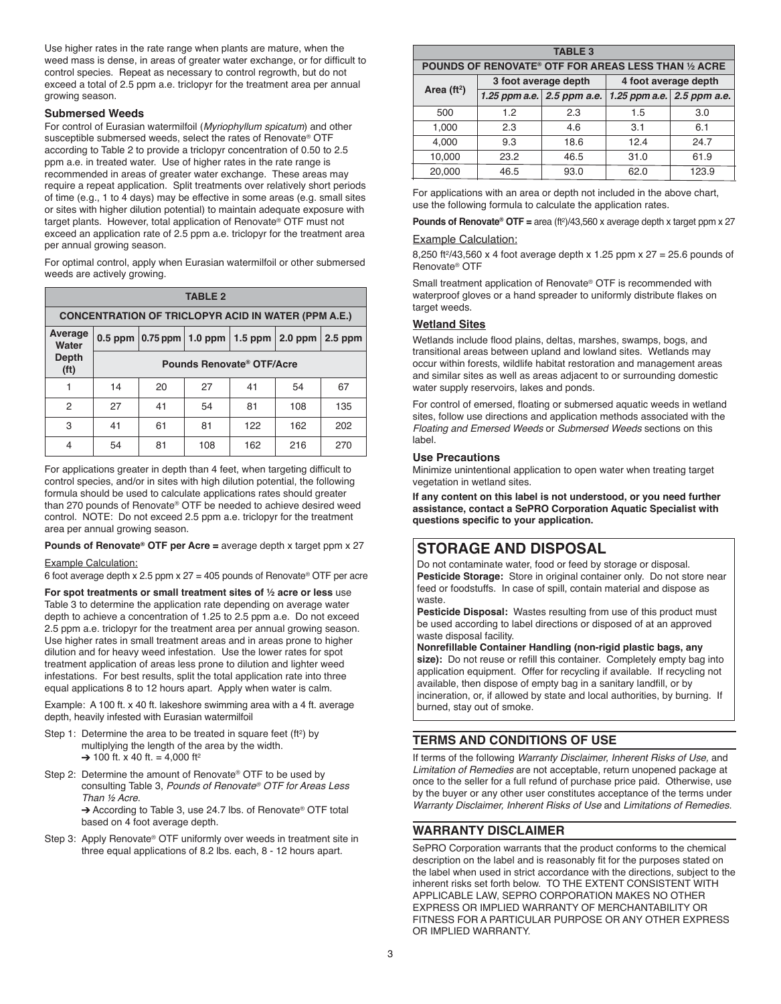Use higher rates in the rate range when plants are mature, when the weed mass is dense, in areas of greater water exchange, or for difficult to control species. Repeat as necessary to control regrowth, but do not exceed a total of 2.5 ppm a.e. triclopyr for the treatment area per annual growing season.

#### **Submersed Weeds**

For control of Eurasian watermilfoil (*Myriophyllum spicatum*) and other susceptible submersed weeds, select the rates of Renovate® OTF according to Table 2 to provide a triclopyr concentration of 0.50 to 2.5 ppm a.e. in treated water. Use of higher rates in the rate range is recommended in areas of greater water exchange. These areas may require a repeat application. Split treatments over relatively short periods of time (e.g., 1 to 4 days) may be effective in some areas (e.g. small sites or sites with higher dilution potential) to maintain adequate exposure with target plants. However, total application of Renovate® OTF must not exceed an application rate of 2.5 ppm a.e. triclopyr for the treatment area per annual growing season.

For optimal control, apply when Eurasian watermilfoil or other submersed weeds are actively growing.

| <b>TABLE 2</b>                                             |                           |                                                      |     |     |     |           |
|------------------------------------------------------------|---------------------------|------------------------------------------------------|-----|-----|-----|-----------|
| <b>CONCENTRATION OF TRICLOPYR ACID IN WATER (PPM A.E.)</b> |                           |                                                      |     |     |     |           |
| Average<br>Water                                           |                           | 0.5 ppm $ 0.75$ ppm $ 1.0$ ppm $ 1.5$ ppm $ 2.0$ ppm |     |     |     | $2.5$ ppm |
| <b>Depth</b><br>(f <sup>t</sup> )                          | Pounds Renovate® OTF/Acre |                                                      |     |     |     |           |
|                                                            | 14                        | 20                                                   | 27  | 41  | 54  | 67        |
| 2                                                          | 27                        | 41                                                   | 54  | 81  | 108 | 135       |
| 3                                                          | 41                        | 61                                                   | 81  | 122 | 162 | 202       |
| 4                                                          | 54                        | 81                                                   | 108 | 162 | 216 | 270       |

For applications greater in depth than 4 feet, when targeting difficult to control species, and/or in sites with high dilution potential, the following formula should be used to calculate applications rates should greater than 270 pounds of Renovate® OTF be needed to achieve desired weed control. NOTE: Do not exceed 2.5 ppm a.e. triclopyr for the treatment area per annual growing season.

## **Pounds of Renovate® OTF per Acre =** average depth x target ppm x 27

#### Example Calculation:

6 foot average depth x 2.5 ppm x  $27 = 405$  pounds of Renovate® OTF per acre

**For spot treatments or small treatment sites of ½ acre or less** use Table 3 to determine the application rate depending on average water depth to achieve a concentration of 1.25 to 2.5 ppm a.e. Do not exceed 2.5 ppm a.e. triclopyr for the treatment area per annual growing season. Use higher rates in small treatment areas and in areas prone to higher dilution and for heavy weed infestation. Use the lower rates for spot treatment application of areas less prone to dilution and lighter weed infestations. For best results, split the total application rate into three equal applications 8 to 12 hours apart. Apply when water is calm.

Example: A 100 ft. x 40 ft. lakeshore swimming area with a 4 ft. average depth, heavily infested with Eurasian watermilfoil

- Step 1: Determine the area to be treated in square feet (ft 2) by multiplying the length of the area by the width. 100 ft.  $\times$  40 ft. = 4,000 ft<sup>2</sup>
- Step 2: Determine the amount of Renovate® OTF to be used by consulting Table 3, *Pounds of Renovate® OTF for Areas Less Than ½ Acre*. → According to Table 3, use 24.7 lbs. of Renovate® OTF total

based on 4 foot average depth.

Step 3: Apply Renovate® OTF uniformly over weeds in treatment site in three equal applications of 8.2 lbs. each, 8 - 12 hours apart.

| <b>TABLE 3</b>                                              |                      |                               |                            |      |  |  |
|-------------------------------------------------------------|----------------------|-------------------------------|----------------------------|------|--|--|
| <b>POUNDS OF RENOVATE® OTF FOR AREAS LESS THAN 1⁄2 ACRE</b> |                      |                               |                            |      |  |  |
|                                                             | 3 foot average depth |                               | 4 foot average depth       |      |  |  |
| Area $(ft2)$                                                |                      | 1.25 ppm a.e. $ 2.5$ ppm a.e. | 1.25 ppm a.e. 2.5 ppm a.e. |      |  |  |
| 500                                                         | 12                   | 2.3                           | 1.5                        | 3.0  |  |  |
| 1.000                                                       | 23                   | 4.6                           | 31                         | 61   |  |  |
| 4.000                                                       | 93                   | 18.6                          | 124                        | 24.7 |  |  |

| 20.000                                                                  | 46.5 | 93.0 | 62.0 | 123.9 |  |  |
|-------------------------------------------------------------------------|------|------|------|-------|--|--|
| For applications with an area or depth not included in the above chart, |      |      |      |       |  |  |
| use the following formula to calculate the application rates.           |      |      |      |       |  |  |

10,000 | 23.2 | 46.5 | 31.0 | 61.9

**Pounds of Renovate® OTF =** area (ft 2)/43,560 x average depth x target ppm x 27

#### **Example Calculation:**

8,250 ft 2/43,560 x 4 foot average depth x 1.25 ppm x 27 = 25.6 pounds of Renovate® OTF

Small treatment application of Renovate® OTF is recommended with waterproof gloves or a hand spreader to uniformly distribute flakes on target weeds.

#### **Wetland Sites**

Wetlands include flood plains, deltas, marshes, swamps, bogs, and transitional areas between upland and lowland sites. Wetlands may occur within forests, wildlife habitat restoration and management areas and similar sites as well as areas adjacent to or surrounding domestic water supply reservoirs, lakes and ponds.

For control of emersed, floating or submersed aquatic weeds in wetland sites, follow use directions and application methods associated with the *Floating and Emersed Weeds* or *Submersed Weeds* sections on this label.

#### **Use Precautions**

Minimize unintentional application to open water when treating target vegetation in wetland sites.

**If any content on this label is not understood, or you need further assistance, contact a SePRO Corporation Aquatic Specialist with questions specific to your application.**

## **STORAGE AND DISPOSAL**

Do not contaminate water, food or feed by storage or disposal. **Pesticide Storage:** Store in original container only. Do not store near feed or foodstuffs. In case of spill, contain material and dispose as waste.

**Pesticide Disposal:** Wastes resulting from use of this product must be used according to label directions or disposed of at an approved waste disposal facility.

**Nonrefillable Container Handling (non-rigid plastic bags, any** size): Do not reuse or refill this container. Completely empty bag into application equipment. Offer for recycling if available. If recycling not available, then dispose of empty bag in a sanitary landfill, or by incineration, or, if allowed by state and local authorities, by burning. If burned, stay out of smoke.

## **TERMS AND CONDITIONS OF USE**

If terms of the following *Warranty Disclaimer, Inherent Risks of Use,* and *Limitation of Remedies* are not acceptable, return unopened package at once to the seller for a full refund of purchase price paid. Otherwise, use by the buyer or any other user constitutes acceptance of the terms under *Warranty Disclaimer, Inherent Risks of Use* and *Limitations of Remedies*.

## **WARRANTY DISCLAIMER**

SePRO Corporation warrants that the product conforms to the chemical description on the label and is reasonably fit for the purposes stated on the label when used in strict accordance with the directions, subject to the inherent risks set forth below. TO THE EXTENT CONSISTENT WITH APPLICABLE LAW, SEPRO CORPORATION MAKES NO OTHER EXPRESS OR IMPLIED WARRANTY OF MERCHANTABILITY OR FITNESS FOR A PARTICULAR PURPOSE OR ANY OTHER EXPRESS OR IMPLIED WARRANTY.